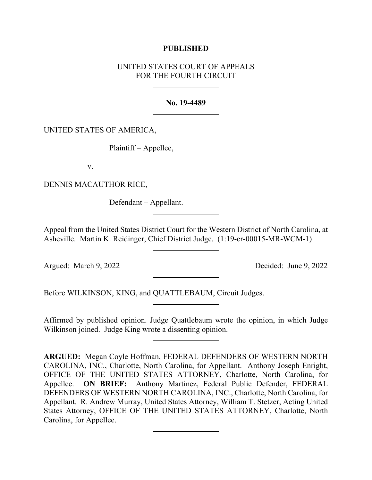## **PUBLISHED**

# UNITED STATES COURT OF APPEALS FOR THE FOURTH CIRCUIT

### **No. 19-4489**

## UNITED STATES OF AMERICA,

Plaintiff – Appellee,

v.

DENNIS MACAUTHOR RICE,

Defendant – Appellant.

Appeal from the United States District Court for the Western District of North Carolina, at Asheville. Martin K. Reidinger, Chief District Judge. (1:19-cr-00015-MR-WCM-1)

Argued: March 9, 2022 Decided: June 9, 2022

Before WILKINSON, KING, and QUATTLEBAUM, Circuit Judges.

Affirmed by published opinion. Judge Quattlebaum wrote the opinion, in which Judge Wilkinson joined. Judge King wrote a dissenting opinion.

**ARGUED:** Megan Coyle Hoffman, FEDERAL DEFENDERS OF WESTERN NORTH CAROLINA, INC., Charlotte, North Carolina, for Appellant. Anthony Joseph Enright, OFFICE OF THE UNITED STATES ATTORNEY, Charlotte, North Carolina, for Appellee. **ON BRIEF:** Anthony Martinez, Federal Public Defender, FEDERAL DEFENDERS OF WESTERN NORTH CAROLINA, INC., Charlotte, North Carolina, for Appellant. R. Andrew Murray, United States Attorney, William T. Stetzer, Acting United States Attorney, OFFICE OF THE UNITED STATES ATTORNEY, Charlotte, North Carolina, for Appellee.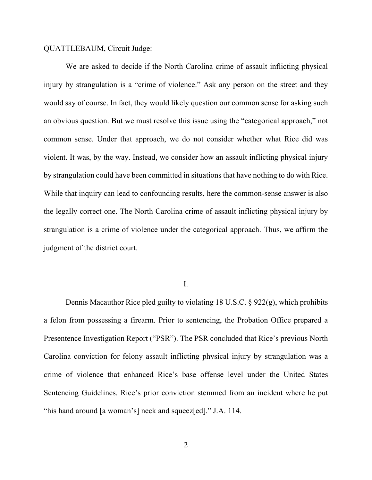#### QUATTLEBAUM, Circuit Judge:

We are asked to decide if the North Carolina crime of assault inflicting physical injury by strangulation is a "crime of violence." Ask any person on the street and they would say of course. In fact, they would likely question our common sense for asking such an obvious question. But we must resolve this issue using the "categorical approach," not common sense. Under that approach, we do not consider whether what Rice did was violent. It was, by the way. Instead, we consider how an assault inflicting physical injury by strangulation could have been committed in situations that have nothing to do with Rice. While that inquiry can lead to confounding results, here the common-sense answer is also the legally correct one. The North Carolina crime of assault inflicting physical injury by strangulation is a crime of violence under the categorical approach. Thus, we affirm the judgment of the district court.

I.

Dennis Macauthor Rice pled guilty to violating 18 U.S.C. § 922(g), which prohibits a felon from possessing a firearm. Prior to sentencing, the Probation Office prepared a Presentence Investigation Report ("PSR"). The PSR concluded that Rice's previous North Carolina conviction for felony assault inflicting physical injury by strangulation was a crime of violence that enhanced Rice's base offense level under the United States Sentencing Guidelines. Rice's prior conviction stemmed from an incident where he put "his hand around [a woman's] neck and squeez[ed]." J.A. 114.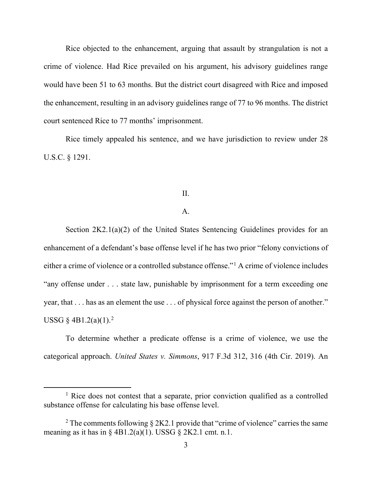Rice objected to the enhancement, arguing that assault by strangulation is not a crime of violence. Had Rice prevailed on his argument, his advisory guidelines range would have been 51 to 63 months. But the district court disagreed with Rice and imposed the enhancement, resulting in an advisory guidelines range of 77 to 96 months. The district court sentenced Rice to 77 months' imprisonment.

Rice timely appealed his sentence, and we have jurisdiction to review under 28 U.S.C. § 1291.

### II.

# A.

Section 2K2.1(a)(2) of the United States Sentencing Guidelines provides for an enhancement of a defendant's base offense level if he has two prior "felony convictions of either a crime of violence or a controlled substance offense."[1](#page-2-0) A crime of violence includes "any offense under . . . state law, punishable by imprisonment for a term exceeding one year, that . . . has as an element the use . . . of physical force against the person of another." USSG  $\S$  4B1.[2](#page-2-1)(a)(1).<sup>2</sup>

To determine whether a predicate offense is a crime of violence, we use the categorical approach. *United States v. Simmons*, 917 F.3d 312, 316 (4th Cir. 2019). An

<span id="page-2-0"></span><sup>&</sup>lt;sup>1</sup> Rice does not contest that a separate, prior conviction qualified as a controlled substance offense for calculating his base offense level.

<span id="page-2-1"></span><sup>&</sup>lt;sup>2</sup> The comments following  $\S 2K2.1$  provide that "crime of violence" carries the same meaning as it has in §  $4B1.2(a)(1)$ . USSG § 2K2.1 cmt. n.1.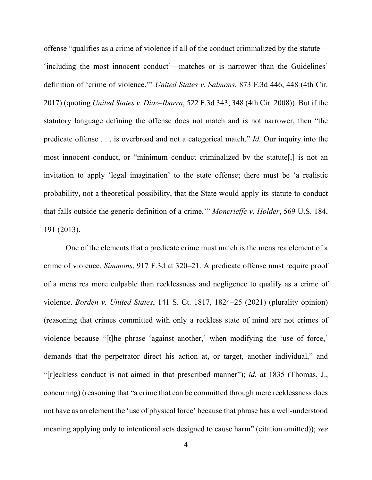offense "qualifies as a crime of violence if all of the conduct criminalized by the statute— 'including the most innocent conduct'—matches or is narrower than the Guidelines' definition of 'crime of violence.'" *United States v. Salmons*, 873 F.3d 446, 448 (4th Cir. 2017) (quoting *United States v. Diaz–Ibarra*, 522 F.3d 343, 348 (4th Cir. 2008)). But if the statutory language defining the offense does not match and is not narrower, then "the predicate offense . . . is overbroad and not a categorical match." *Id.* Our inquiry into the most innocent conduct, or "minimum conduct criminalized by the statute[,] is not an invitation to apply 'legal imagination' to the state offense; there must be 'a realistic probability, not a theoretical possibility, that the State would apply its statute to conduct that falls outside the generic definition of a crime.'" *Moncrieffe v. Holder*, 569 U.S. 184, 191 (2013).

One of the elements that a predicate crime must match is the mens rea element of a crime of violence. *Simmons*, 917 F.3d at 320–21. A predicate offense must require proof of a mens rea more culpable than recklessness and negligence to qualify as a crime of violence. *Borden v. United States*, 141 S. Ct. 1817, 1824–25 (2021) (plurality opinion) (reasoning that crimes committed with only a reckless state of mind are not crimes of violence because "[t]he phrase 'against another,' when modifying the 'use of force,' demands that the perpetrator direct his action at, or target, another individual," and "[r]eckless conduct is not aimed in that prescribed manner"); *id.* at 1835 (Thomas, J., concurring) (reasoning that "a crime that can be committed through mere recklessness does not have as an element the 'use of physical force' because that phrase has a well-understood meaning applying only to intentional acts designed to cause harm" (citation omitted)); *see*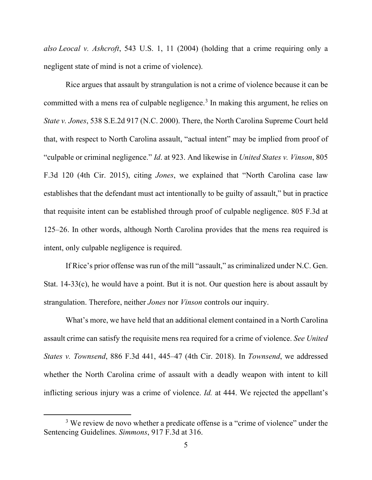*also Leocal v. Ashcroft*, 543 U.S. 1, 11 (2004) (holding that a crime requiring only a negligent state of mind is not a crime of violence).

Rice argues that assault by strangulation is not a crime of violence because it can be committed with a mens rea of culpable negligence.<sup>[3](#page-4-0)</sup> In making this argument, he relies on *State v. Jones*, 538 S.E.2d 917 (N.C. 2000). There, the North Carolina Supreme Court held that, with respect to North Carolina assault, "actual intent" may be implied from proof of "culpable or criminal negligence." *Id*. at 923. And likewise in *United States v. Vinson*, 805 F.3d 120 (4th Cir. 2015), citing *Jones*, we explained that "North Carolina case law establishes that the defendant must act intentionally to be guilty of assault," but in practice that requisite intent can be established through proof of culpable negligence. 805 F.3d at 125–26. In other words, although North Carolina provides that the mens rea required is intent, only culpable negligence is required.

If Rice's prior offense was run of the mill "assault," as criminalized under N.C. Gen. Stat. 14-33(c), he would have a point. But it is not. Our question here is about assault by strangulation. Therefore, neither *Jones* nor *Vinson* controls our inquiry.

What's more, we have held that an additional element contained in a North Carolina assault crime can satisfy the requisite mens rea required for a crime of violence. *See United States v. Townsend*, 886 F.3d 441, 445–47 (4th Cir. 2018). In *Townsend*, we addressed whether the North Carolina crime of assault with a deadly weapon with intent to kill inflicting serious injury was a crime of violence. *Id.* at 444. We rejected the appellant's

<span id="page-4-0"></span><sup>&</sup>lt;sup>3</sup> We review de novo whether a predicate offense is a "crime of violence" under the Sentencing Guidelines. *Simmons*, 917 F.3d at 316.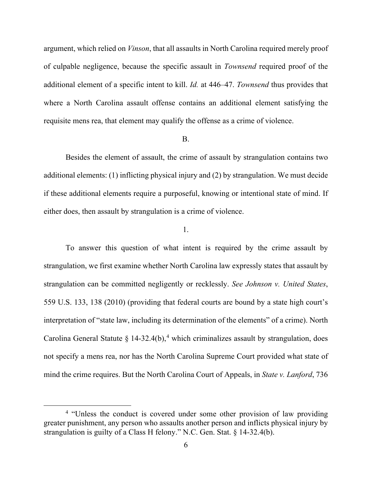argument, which relied on *Vinson*, that all assaults in North Carolina required merely proof of culpable negligence, because the specific assault in *Townsend* required proof of the additional element of a specific intent to kill. *Id.* at 446–47. *Townsend* thus provides that where a North Carolina assault offense contains an additional element satisfying the requisite mens rea, that element may qualify the offense as a crime of violence.

### B.

Besides the element of assault, the crime of assault by strangulation contains two additional elements: (1) inflicting physical injury and (2) by strangulation. We must decide if these additional elements require a purposeful, knowing or intentional state of mind. If either does, then assault by strangulation is a crime of violence.

### 1.

To answer this question of what intent is required by the crime assault by strangulation, we first examine whether North Carolina law expressly states that assault by strangulation can be committed negligently or recklessly. *See Johnson v. United States*, 559 U.S. 133, 138 (2010) (providing that federal courts are bound by a state high court's interpretation of "state law, including its determination of the elements" of a crime). North Carolina General Statute  $\S 14-32.4(b)$  $\S 14-32.4(b)$  $\S 14-32.4(b)$ ,<sup>4</sup> which criminalizes assault by strangulation, does not specify a mens rea, nor has the North Carolina Supreme Court provided what state of mind the crime requires. But the North Carolina Court of Appeals, in *State v. Lanford*, 736

<span id="page-5-0"></span><sup>4</sup> "Unless the conduct is covered under some other provision of law providing greater punishment, any person who assaults another person and inflicts physical injury by strangulation is guilty of a Class H felony." N.C. Gen. Stat. § 14-32.4(b).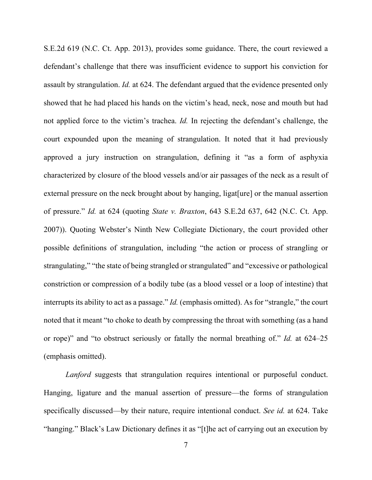S.E.2d 619 (N.C. Ct. App. 2013), provides some guidance. There, the court reviewed a defendant's challenge that there was insufficient evidence to support his conviction for assault by strangulation. *Id.* at 624. The defendant argued that the evidence presented only showed that he had placed his hands on the victim's head, neck, nose and mouth but had not applied force to the victim's trachea. *Id.* In rejecting the defendant's challenge, the court expounded upon the meaning of strangulation. It noted that it had previously approved a jury instruction on strangulation, defining it "as a form of asphyxia characterized by closure of the blood vessels and/or air passages of the neck as a result of external pressure on the neck brought about by hanging, ligat[ure] or the manual assertion of pressure." *Id.* at 624 (quoting *State v. Braxton*, 643 S.E.2d 637, 642 (N.C. Ct. App. 2007)). Quoting Webster's Ninth New Collegiate Dictionary, the court provided other possible definitions of strangulation, including "the action or process of strangling or strangulating," "the state of being strangled or strangulated" and "excessive or pathological constriction or compression of a bodily tube (as a blood vessel or a loop of intestine) that interrupts its ability to act as a passage." *Id.* (emphasis omitted). As for "strangle," the court noted that it meant "to choke to death by compressing the throat with something (as a hand or rope)" and "to obstruct seriously or fatally the normal breathing of." *Id.* at 624–25 (emphasis omitted).

*Lanford* suggests that strangulation requires intentional or purposeful conduct. Hanging, ligature and the manual assertion of pressure—the forms of strangulation specifically discussed—by their nature, require intentional conduct. *See id.* at 624. Take "hanging." Black's Law Dictionary defines it as "[t]he act of carrying out an execution by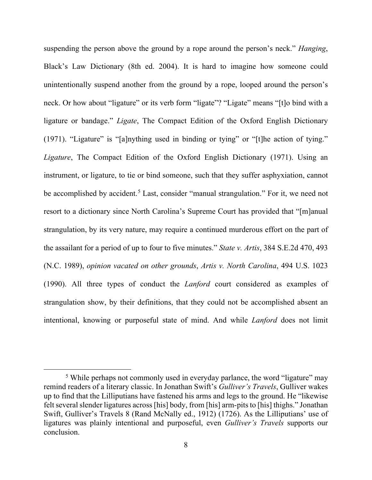suspending the person above the ground by a rope around the person's neck." *Hanging*, Black's Law Dictionary (8th ed. 2004). It is hard to imagine how someone could unintentionally suspend another from the ground by a rope, looped around the person's neck. Or how about "ligature" or its verb form "ligate"? "Ligate" means "[t]o bind with a ligature or bandage." *Ligate*, The Compact Edition of the Oxford English Dictionary (1971). "Ligature" is "[a]nything used in binding or tying" or "[t]he action of tying." *Ligature*, The Compact Edition of the Oxford English Dictionary (1971). Using an instrument, or ligature, to tie or bind someone, such that they suffer asphyxiation, cannot be accomplished by accident.<sup>[5](#page-7-0)</sup> Last, consider "manual strangulation." For it, we need not resort to a dictionary since North Carolina's Supreme Court has provided that "[m]anual strangulation, by its very nature, may require a continued murderous effort on the part of the assailant for a period of up to four to five minutes." *State v. Artis*, 384 S.E.2d 470, 493 (N.C. 1989), *opinion vacated on other grounds*, *Artis v. North Carolina*, 494 U.S. 1023 (1990). All three types of conduct the *Lanford* court considered as examples of strangulation show, by their definitions, that they could not be accomplished absent an intentional, knowing or purposeful state of mind. And while *Lanford* does not limit

<span id="page-7-0"></span><sup>&</sup>lt;sup>5</sup> While perhaps not commonly used in everyday parlance, the word "ligature" may remind readers of a literary classic. In Jonathan Swift's *Gulliver's Travels*, Gulliver wakes up to find that the Lilliputians have fastened his arms and legs to the ground. He "likewise felt several slender ligatures across [his] body, from [his] arm-pits to [his] thighs." Jonathan Swift, Gulliver's Travels 8 (Rand McNally ed., 1912) (1726). As the Lilliputians' use of ligatures was plainly intentional and purposeful, even *Gulliver's Travels* supports our conclusion.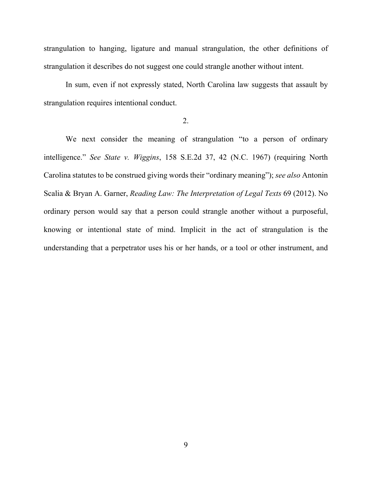strangulation to hanging, ligature and manual strangulation, the other definitions of strangulation it describes do not suggest one could strangle another without intent.

In sum, even if not expressly stated, North Carolina law suggests that assault by strangulation requires intentional conduct.

# 2.

We next consider the meaning of strangulation "to a person of ordinary intelligence." *See State v. Wiggins*, 158 S.E.2d 37, 42 (N.C. 1967) (requiring North Carolina statutes to be construed giving words their "ordinary meaning"); *see also* Antonin Scalia & Bryan A. Garner, *Reading Law: The Interpretation of Legal Texts* 69 (2012). No ordinary person would say that a person could strangle another without a purposeful, knowing or intentional state of mind. Implicit in the act of strangulation is the understanding that a perpetrator uses his or her hands, or a tool or other instrument, and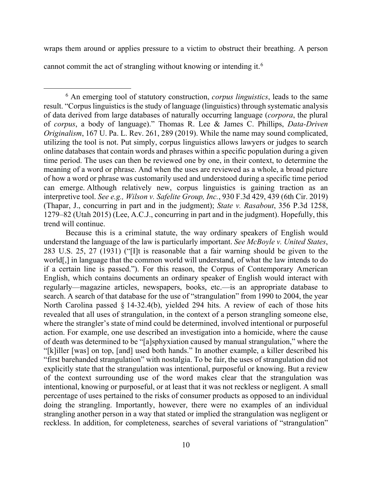wraps them around or applies pressure to a victim to obstruct their breathing. A person cannot commit the act of strangling without knowing or intending it.<sup>[6](#page-9-0)</sup>

<span id="page-9-0"></span><sup>6</sup> An emerging tool of statutory construction, *corpus linguistics*, leads to the same result. "Corpus linguistics is the study of language (linguistics) through systematic analysis of data derived from large databases of naturally occurring language (*corpora*, the plural of *corpus*, a body of language)." Thomas R. Lee & James C. Phillips, *Data-Driven Originalism*, 167 U. Pa. L. Rev. 261, 289 (2019). While the name may sound complicated, utilizing the tool is not. Put simply, corpus linguistics allows lawyers or judges to search online databases that contain words and phrases within a specific population during a given time period. The uses can then be reviewed one by one, in their context, to determine the meaning of a word or phrase. And when the uses are reviewed as a whole, a broad picture of how a word or phrase was customarily used and understood during a specific time period can emerge. Although relatively new, corpus linguistics is gaining traction as an interpretive tool. *See e.g., Wilson v. Safelite Group, Inc.*, 930 F.3d 429, 439 (6th Cir. 2019) (Thapar, J., concurring in part and in the judgment); *State v. Rasabout*, 356 P.3d 1258, 1279–82 (Utah 2015) (Lee, A.C.J., concurring in part and in the judgment). Hopefully, this trend will continue.

Because this is a criminal statute, the way ordinary speakers of English would understand the language of the law is particularly important. *See McBoyle v. United States*, 283 U.S. 25, 27 (1931) ("[I]t is reasonable that a fair warning should be given to the world[,] in language that the common world will understand, of what the law intends to do if a certain line is passed."). For this reason, the Corpus of Contemporary American English, which contains documents an ordinary speaker of English would interact with regularly—magazine articles, newspapers, books, etc.—is an appropriate database to search. A search of that database for the use of "strangulation" from 1990 to 2004, the year North Carolina passed § 14-32.4(b), yielded 294 hits. A review of each of those hits revealed that all uses of strangulation, in the context of a person strangling someone else, where the strangler's state of mind could be determined, involved intentional or purposeful action. For example, one use described an investigation into a homicide, where the cause of death was determined to be "[a]sphyxiation caused by manual strangulation," where the "[k]iller [was] on top, [and] used both hands." In another example, a killer described his "first barehanded strangulation" with nostalgia. To be fair, the uses of strangulation did not explicitly state that the strangulation was intentional, purposeful or knowing. But a review of the context surrounding use of the word makes clear that the strangulation was intentional, knowing or purposeful, or at least that it was not reckless or negligent. A small percentage of uses pertained to the risks of consumer products as opposed to an individual doing the strangling. Importantly, however, there were no examples of an individual strangling another person in a way that stated or implied the strangulation was negligent or reckless. In addition, for completeness, searches of several variations of "strangulation"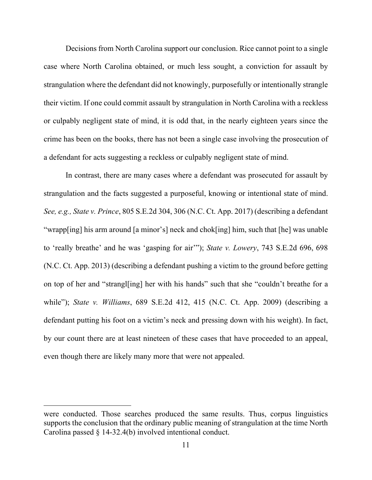Decisions from North Carolina support our conclusion. Rice cannot point to a single case where North Carolina obtained, or much less sought, a conviction for assault by strangulation where the defendant did not knowingly, purposefully or intentionally strangle their victim. If one could commit assault by strangulation in North Carolina with a reckless or culpably negligent state of mind, it is odd that, in the nearly eighteen years since the crime has been on the books, there has not been a single case involving the prosecution of a defendant for acts suggesting a reckless or culpably negligent state of mind.

In contrast, there are many cases where a defendant was prosecuted for assault by strangulation and the facts suggested a purposeful, knowing or intentional state of mind. *See, e.g., State v. Prince*, 805 S.E.2d 304, 306 (N.C. Ct. App. 2017) (describing a defendant "wrapp[ing] his arm around [a minor's] neck and chok[ing] him, such that [he] was unable to 'really breathe' and he was 'gasping for air'"); *State v. Lowery*, 743 S.E.2d 696, 698 (N.C. Ct. App. 2013) (describing a defendant pushing a victim to the ground before getting on top of her and "strangl[ing] her with his hands" such that she "couldn't breathe for a while"); *State v. Williams*, 689 S.E.2d 412, 415 (N.C. Ct. App. 2009) (describing a defendant putting his foot on a victim's neck and pressing down with his weight). In fact, by our count there are at least nineteen of these cases that have proceeded to an appeal, even though there are likely many more that were not appealed.

were conducted. Those searches produced the same results. Thus, corpus linguistics supports the conclusion that the ordinary public meaning of strangulation at the time North Carolina passed § 14-32.4(b) involved intentional conduct.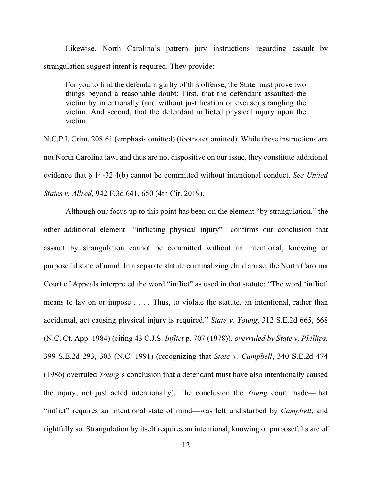Likewise, North Carolina's pattern jury instructions regarding assault by strangulation suggest intent is required. They provide:

For you to find the defendant guilty of this offense, the State must prove two things beyond a reasonable doubt: First, that the defendant assaulted the victim by intentionally (and without justification or excuse) strangling the victim. And second, that the defendant inflicted physical injury upon the victim.

N.C.P.I. Crim. 208.61 (emphasis omitted) (footnotes omitted). While these instructions are not North Carolina law, and thus are not dispositive on our issue, they constitute additional evidence that § 14-32.4(b) cannot be committed without intentional conduct. *See United States v. Allred*, 942 F.3d 641, 650 (4th Cir. 2019).

Although our focus up to this point has been on the element "by strangulation," the other additional element—"inflicting physical injury"—confirms our conclusion that assault by strangulation cannot be committed without an intentional, knowing or purposeful state of mind. In a separate statute criminalizing child abuse, the North Carolina Court of Appeals interpreted the word "inflict" as used in that statute: "The word 'inflict' means to lay on or impose . . . . Thus, to violate the statute, an intentional, rather than accidental, act causing physical injury is required." *State v. Young*, 312 S.E.2d 665, 668 (N.C. Ct. App. 1984) (citing 43 C.J.S. *Inflict* p. 707 (1978)), *overruled by State v. Phillips*, 399 S.E.2d 293, 303 (N.C. 1991) (recognizing that *State v. Campbell*, 340 S.E.2d 474 (1986) overruled *Young*'s conclusion that a defendant must have also intentionally caused the injury, not just acted intentionally). The conclusion the *Young* court made—that "inflict" requires an intentional state of mind—was left undisturbed by *Campbell*, and rightfully so. Strangulation by itself requires an intentional, knowing or purposeful state of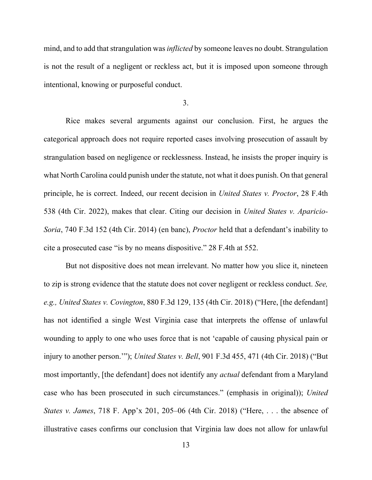mind, and to add that strangulation was *inflicted* by someone leaves no doubt. Strangulation is not the result of a negligent or reckless act, but it is imposed upon someone through intentional, knowing or purposeful conduct.

3.

Rice makes several arguments against our conclusion. First, he argues the categorical approach does not require reported cases involving prosecution of assault by strangulation based on negligence or recklessness. Instead, he insists the proper inquiry is what North Carolina could punish under the statute, not what it does punish. On that general principle, he is correct. Indeed, our recent decision in *United States v. Proctor*, 28 F.4th 538 (4th Cir. 2022), makes that clear. Citing our decision in *United States v. Aparicio-Soria*, 740 F.3d 152 (4th Cir. 2014) (en banc), *Proctor* held that a defendant's inability to cite a prosecuted case "is by no means dispositive." 28 F.4th at 552.

But not dispositive does not mean irrelevant. No matter how you slice it, nineteen to zip is strong evidence that the statute does not cover negligent or reckless conduct. *See, e.g., United States v. Covington*, 880 F.3d 129, 135 (4th Cir. 2018) ("Here, [the defendant] has not identified a single West Virginia case that interprets the offense of unlawful wounding to apply to one who uses force that is not 'capable of causing physical pain or injury to another person.'"); *United States v. Bell*, 901 F.3d 455, 471 (4th Cir. 2018) ("But most importantly, [the defendant] does not identify any *actual* defendant from a Maryland case who has been prosecuted in such circumstances." (emphasis in original)); *United States v. James*, 718 F. App'x 201, 205–06 (4th Cir. 2018) ("Here, . . . the absence of illustrative cases confirms our conclusion that Virginia law does not allow for unlawful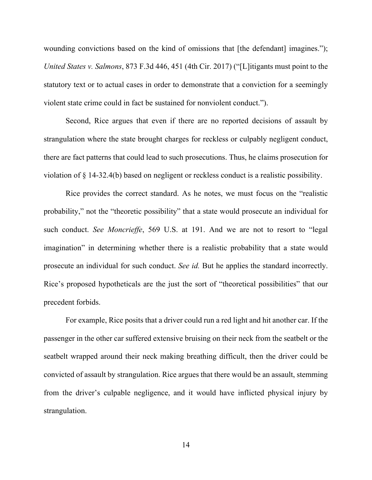wounding convictions based on the kind of omissions that [the defendant] imagines."); *United States v. Salmons*, 873 F.3d 446, 451 (4th Cir. 2017) ("[L]itigants must point to the statutory text or to actual cases in order to demonstrate that a conviction for a seemingly violent state crime could in fact be sustained for nonviolent conduct.").

Second, Rice argues that even if there are no reported decisions of assault by strangulation where the state brought charges for reckless or culpably negligent conduct, there are fact patterns that could lead to such prosecutions. Thus, he claims prosecution for violation of § 14-32.4(b) based on negligent or reckless conduct is a realistic possibility.

Rice provides the correct standard. As he notes, we must focus on the "realistic probability," not the "theoretic possibility" that a state would prosecute an individual for such conduct. *See Moncrieffe*, 569 U.S. at 191. And we are not to resort to "legal imagination" in determining whether there is a realistic probability that a state would prosecute an individual for such conduct. *See id.* But he applies the standard incorrectly. Rice's proposed hypotheticals are the just the sort of "theoretical possibilities" that our precedent forbids.

For example, Rice posits that a driver could run a red light and hit another car. If the passenger in the other car suffered extensive bruising on their neck from the seatbelt or the seatbelt wrapped around their neck making breathing difficult, then the driver could be convicted of assault by strangulation. Rice argues that there would be an assault, stemming from the driver's culpable negligence, and it would have inflicted physical injury by strangulation.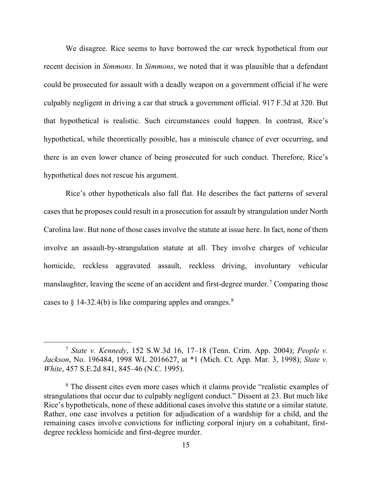We disagree. Rice seems to have borrowed the car wreck hypothetical from our recent decision in *Simmons*. In *Simmons*, we noted that it was plausible that a defendant could be prosecuted for assault with a deadly weapon on a government official if he were culpably negligent in driving a car that struck a government official. 917 F.3d at 320. But that hypothetical is realistic. Such circumstances could happen. In contrast, Rice's hypothetical, while theoretically possible, has a miniscule chance of ever occurring, and there is an even lower chance of being prosecuted for such conduct. Therefore, Rice's hypothetical does not rescue his argument.

Rice's other hypotheticals also fall flat. He describes the fact patterns of several cases that he proposes could result in a prosecution for assault by strangulation under North Carolina law. But none of those cases involve the statute at issue here. In fact, none of them involve an assault-by-strangulation statute at all. They involve charges of vehicular homicide, reckless aggravated assault, reckless driving, involuntary vehicular manslaughter, leaving the scene of an accident and first-degree murder.<sup>[7](#page-14-0)</sup> Comparing those cases to  $\S$  14-32.4(b) is like comparing apples and oranges.<sup>[8](#page-14-1)</sup>

<span id="page-14-0"></span><sup>7</sup> *State v. Kennedy*, 152 S.W.3d 16, 17–18 (Tenn. Crim. App. 2004); *People v. Jackson*, No. 196484, 1998 WL 2016627, at \*1 (Mich. Ct. App. Mar. 3, 1998); *State v. White*, 457 S.E.2d 841, 845–46 (N.C. 1995).

<span id="page-14-1"></span><sup>&</sup>lt;sup>8</sup> The dissent cites even more cases which it claims provide "realistic examples of strangulations that occur due to culpably negligent conduct." Dissent at 23. But much like Rice's hypotheticals, none of these additional cases involve this statute or a similar statute. Rather, one case involves a petition for adjudication of a wardship for a child, and the remaining cases involve convictions for inflicting corporal injury on a cohabitant, firstdegree reckless homicide and first-degree murder.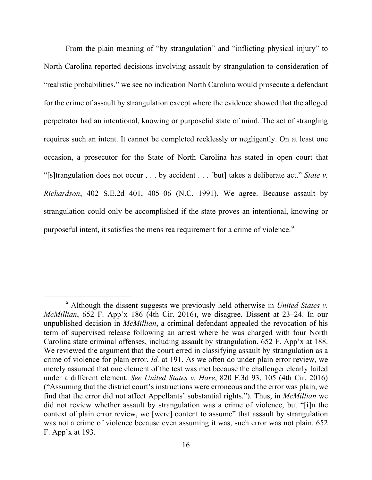From the plain meaning of "by strangulation" and "inflicting physical injury" to North Carolina reported decisions involving assault by strangulation to consideration of "realistic probabilities," we see no indication North Carolina would prosecute a defendant for the crime of assault by strangulation except where the evidence showed that the alleged perpetrator had an intentional, knowing or purposeful state of mind. The act of strangling requires such an intent. It cannot be completed recklessly or negligently. On at least one occasion, a prosecutor for the State of North Carolina has stated in open court that "[s]trangulation does not occur . . . by accident . . . [but] takes a deliberate act." *State v. Richardson*, 402 S.E.2d 401, 405–06 (N.C. 1991). We agree. Because assault by strangulation could only be accomplished if the state proves an intentional, knowing or purposeful intent, it satisfies the mens rea requirement for a crime of violence.<sup>[9](#page-15-0)</sup>

<span id="page-15-0"></span><sup>9</sup> Although the dissent suggests we previously held otherwise in *United States v. McMillian*, 652 F. App'x 186 (4th Cir. 2016), we disagree. Dissent at 23–24. In our unpublished decision in *McMillian*, a criminal defendant appealed the revocation of his term of supervised release following an arrest where he was charged with four North Carolina state criminal offenses, including assault by strangulation. 652 F. App'x at 188. We reviewed the argument that the court erred in classifying assault by strangulation as a crime of violence for plain error. *Id.* at 191. As we often do under plain error review, we merely assumed that one element of the test was met because the challenger clearly failed under a different element. *See United States v. Hare*, 820 F.3d 93, 105 (4th Cir. 2016) ("Assuming that the district court's instructions were erroneous and the error was plain, we find that the error did not affect Appellants' substantial rights."). Thus, in *McMillian* we did not review whether assault by strangulation was a crime of violence, but "[i]n the context of plain error review, we [were] content to assume" that assault by strangulation was not a crime of violence because even assuming it was, such error was not plain. 652 F. App'x at 193.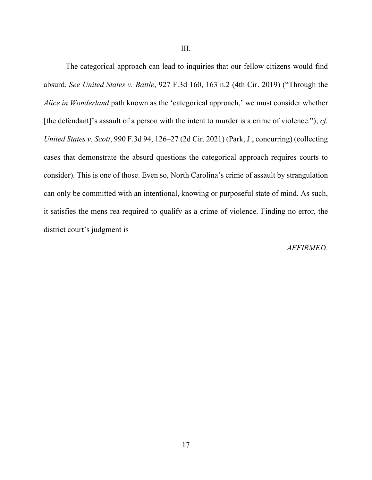III.

The categorical approach can lead to inquiries that our fellow citizens would find absurd. *See United States v. Battle*, 927 F.3d 160, 163 n.2 (4th Cir. 2019) ("Through the *Alice in Wonderland* path known as the 'categorical approach,' we must consider whether [the defendant]'s assault of a person with the intent to murder is a crime of violence."); *cf. United States v. Scott*, 990 F.3d 94, 126–27 (2d Cir. 2021) (Park, J., concurring) (collecting cases that demonstrate the absurd questions the categorical approach requires courts to consider). This is one of those. Even so, North Carolina's crime of assault by strangulation can only be committed with an intentional, knowing or purposeful state of mind. As such, it satisfies the mens rea required to qualify as a crime of violence. Finding no error, the district court's judgment is

### *AFFIRMED.*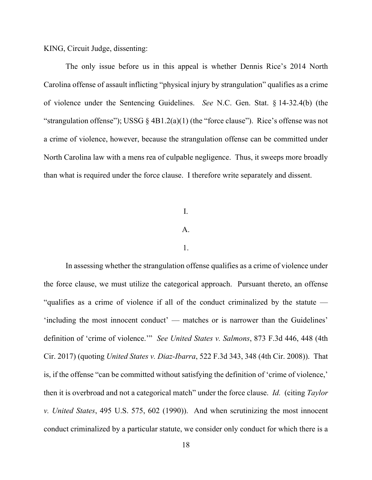KING, Circuit Judge, dissenting:

The only issue before us in this appeal is whether Dennis Rice's 2014 North Carolina offense of assault inflicting "physical injury by strangulation" qualifies as a crime of violence under the Sentencing Guidelines. *See* N.C. Gen. Stat. § 14-32.4(b) (the "strangulation offense"); USSG  $\S$  4B1.2(a)(1) (the "force clause"). Rice's offense was not a crime of violence, however, because the strangulation offense can be committed under North Carolina law with a mens rea of culpable negligence. Thus, it sweeps more broadly than what is required under the force clause. I therefore write separately and dissent.

### I.

# A.

### 1.

In assessing whether the strangulation offense qualifies as a crime of violence under the force clause, we must utilize the categorical approach. Pursuant thereto, an offense "qualifies as a crime of violence if all of the conduct criminalized by the statute — 'including the most innocent conduct' — matches or is narrower than the Guidelines' definition of 'crime of violence.'" *See United States v. Salmons*, 873 F.3d 446, 448 (4th Cir. 2017) (quoting *United States v. Diaz-Ibarra*, 522 F.3d 343, 348 (4th Cir. 2008)). That is, if the offense "can be committed without satisfying the definition of 'crime of violence,' then it is overbroad and not a categorical match" under the force clause. *Id.* (citing *Taylor v. United States*, 495 U.S. 575, 602 (1990)). And when scrutinizing the most innocent conduct criminalized by a particular statute, we consider only conduct for which there is a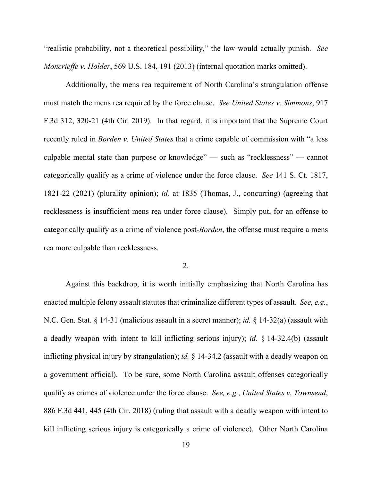"realistic probability, not a theoretical possibility," the law would actually punish. *See Moncrieffe v. Holder*, 569 U.S. 184, 191 (2013) (internal quotation marks omitted).

Additionally, the mens rea requirement of North Carolina's strangulation offense must match the mens rea required by the force clause. *See United States v. Simmons*, 917 F.3d 312, 320-21 (4th Cir. 2019). In that regard, it is important that the Supreme Court recently ruled in *Borden v. United States* that a crime capable of commission with "a less culpable mental state than purpose or knowledge" — such as "recklessness" — cannot categorically qualify as a crime of violence under the force clause. *See* 141 S. Ct. 1817, 1821-22 (2021) (plurality opinion); *id.* at 1835 (Thomas, J., concurring) (agreeing that recklessness is insufficient mens rea under force clause). Simply put, for an offense to categorically qualify as a crime of violence post-*Borden*, the offense must require a mens rea more culpable than recklessness.

### 2.

Against this backdrop, it is worth initially emphasizing that North Carolina has enacted multiple felony assault statutes that criminalize different types of assault. *See, e.g.*, N.C. Gen. Stat. § 14-31 (malicious assault in a secret manner); *id.* § 14-32(a) (assault with a deadly weapon with intent to kill inflicting serious injury); *id.* § 14-32.4(b) (assault inflicting physical injury by strangulation); *id.* § 14-34.2 (assault with a deadly weapon on a government official). To be sure, some North Carolina assault offenses categorically qualify as crimes of violence under the force clause. *See, e.g.*, *United States v. Townsend*, 886 F.3d 441, 445 (4th Cir. 2018) (ruling that assault with a deadly weapon with intent to kill inflicting serious injury is categorically a crime of violence). Other North Carolina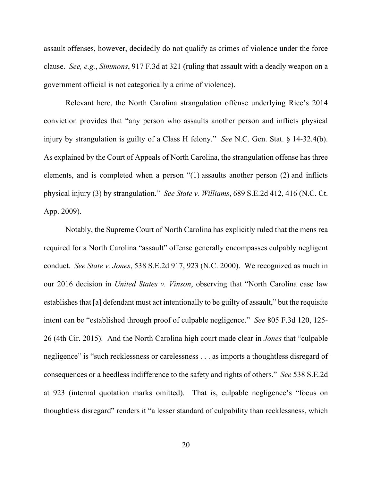assault offenses, however, decidedly do not qualify as crimes of violence under the force clause. *See, e.g.*, *Simmons*, 917 F.3d at 321 (ruling that assault with a deadly weapon on a government official is not categorically a crime of violence).

Relevant here, the North Carolina strangulation offense underlying Rice's 2014 conviction provides that "any person who assaults another person and inflicts physical injury by strangulation is guilty of a Class H felony." *See* N.C. Gen. Stat. § 14-32.4(b). As explained by the Court of Appeals of North Carolina, the strangulation offense has three elements, and is completed when a person "(1) assaults another person (2) and inflicts physical injury (3) by strangulation." *See State v. Williams*, 689 S.E.2d 412, 416 (N.C. Ct. App. 2009).

Notably, the Supreme Court of North Carolina has explicitly ruled that the mens rea required for a North Carolina "assault" offense generally encompasses culpably negligent conduct. *See State v. Jones*, 538 S.E.2d 917, 923 (N.C. 2000). We recognized as much in our 2016 decision in *United States v. Vinson*, observing that "North Carolina case law establishes that [a] defendant must act intentionally to be guilty of assault," but the requisite intent can be "established through proof of culpable negligence." *See* 805 F.3d 120, 125- 26 (4th Cir. 2015). And the North Carolina high court made clear in *Jones* that "culpable negligence" is "such recklessness or carelessness . . . as imports a thoughtless disregard of consequences or a heedless indifference to the safety and rights of others." *See* 538 S.E.2d at 923 (internal quotation marks omitted). That is, culpable negligence's "focus on thoughtless disregard" renders it "a lesser standard of culpability than recklessness, which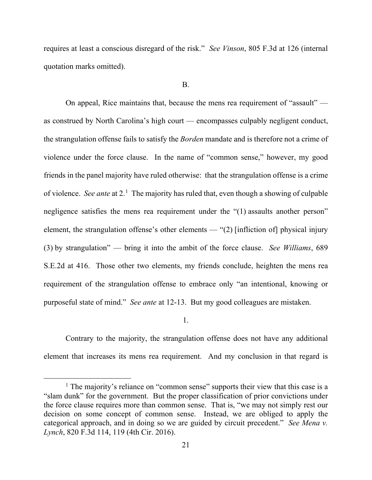requires at least a conscious disregard of the risk." *See Vinson*, 805 F.3d at 126 (internal quotation marks omitted).

#### B.

On appeal, Rice maintains that, because the mens rea requirement of "assault" as construed by North Carolina's high court — encompasses culpably negligent conduct, the strangulation offense fails to satisfy the *Borden* mandate and is therefore not a crime of violence under the force clause.In the name of "common sense," however, my good friends in the panel majority have ruled otherwise: that the strangulation offense is a crime of violence. *See ante* at 2.<sup>[1](#page-20-0)</sup> The majority has ruled that, even though a showing of culpable negligence satisfies the mens rea requirement under the "(1) assaults another person" element, the strangulation offense's other elements — "(2) [infliction of] physical injury (3) by strangulation" — bring it into the ambit of the force clause. *See Williams*, 689 S.E.2d at 416. Those other two elements, my friends conclude, heighten the mens rea requirement of the strangulation offense to embrace only "an intentional, knowing or purposeful state of mind." *See ante* at 12-13. But my good colleagues are mistaken.

1.

Contrary to the majority, the strangulation offense does not have any additional element that increases its mens rea requirement. And my conclusion in that regard is

<span id="page-20-0"></span><sup>&</sup>lt;sup>1</sup> The majority's reliance on "common sense" supports their view that this case is a "slam dunk" for the government. But the proper classification of prior convictions under the force clause requires more than common sense. That is, "we may not simply rest our decision on some concept of common sense. Instead, we are obliged to apply the categorical approach, and in doing so we are guided by circuit precedent." *See Mena v. Lynch*, 820 F.3d 114, 119 (4th Cir. 2016).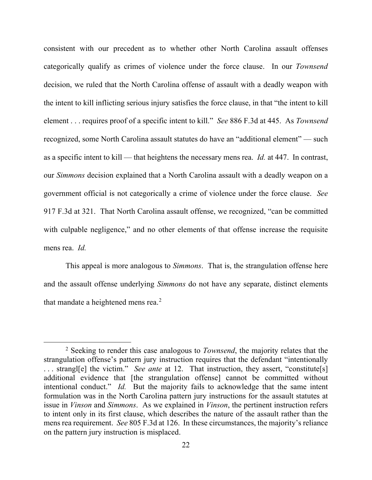consistent with our precedent as to whether other North Carolina assault offenses categorically qualify as crimes of violence under the force clause. In our *Townsend* decision, we ruled that the North Carolina offense of assault with a deadly weapon with the intent to kill inflicting serious injury satisfies the force clause, in that "the intent to kill element . . . requires proof of a specific intent to kill." *See* 886 F.3d at 445. As *Townsend* recognized, some North Carolina assault statutes do have an "additional element" — such as a specific intent to kill — that heightens the necessary mens rea. *Id.* at 447. In contrast, our *Simmons* decision explained that a North Carolina assault with a deadly weapon on a government official is not categorically a crime of violence under the force clause. *See*  917 F.3d at 321. That North Carolina assault offense, we recognized, "can be committed with culpable negligence," and no other elements of that offense increase the requisite mens rea. *Id.* 

This appeal is more analogous to *Simmons*. That is, the strangulation offense here and the assault offense underlying *Simmons* do not have any separate, distinct elements that mandate a heightened mens rea. $2$ 

<span id="page-21-0"></span><sup>2</sup> Seeking to render this case analogous to *Townsend*, the majority relates that the strangulation offense's pattern jury instruction requires that the defendant "intentionally ... strangle the victim." *See ante* at 12. That instruction, they assert, "constitute [s] additional evidence that [the strangulation offense] cannot be committed without intentional conduct." *Id.* But the majority fails to acknowledge that the same intent formulation was in the North Carolina pattern jury instructions for the assault statutes at issue in *Vinson* and *Simmons*. As we explained in *Vinson*, the pertinent instruction refers to intent only in its first clause, which describes the nature of the assault rather than the mens rea requirement. *See* 805 F.3d at 126. In these circumstances, the majority's reliance on the pattern jury instruction is misplaced.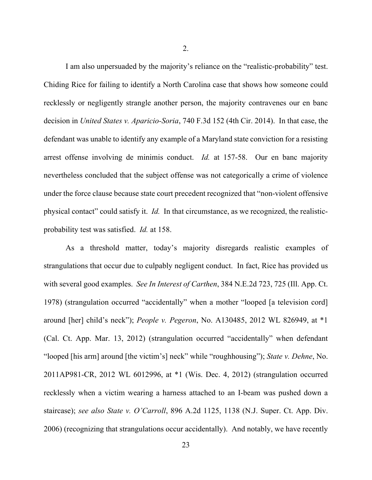2.

I am also unpersuaded by the majority's reliance on the "realistic-probability" test. Chiding Rice for failing to identify a North Carolina case that shows how someone could recklessly or negligently strangle another person, the majority contravenes our en banc decision in *United States v. Aparicio-Soria*, 740 F.3d 152 (4th Cir. 2014). In that case, the defendant was unable to identify any example of a Maryland state conviction for a resisting arrest offense involving de minimis conduct. *Id.* at 157-58. Our en banc majority nevertheless concluded that the subject offense was not categorically a crime of violence under the force clause because state court precedent recognized that "non-violent offensive physical contact" could satisfy it. *Id.* In that circumstance, as we recognized, the realisticprobability test was satisfied. *Id.* at 158.

As a threshold matter, today's majority disregards realistic examples of strangulations that occur due to culpably negligent conduct. In fact, Rice has provided us with several good examples. *See In Interest of Carthen*, 384 N.E.2d 723, 725 (Ill. App. Ct. 1978) (strangulation occurred "accidentally" when a mother "looped [a television cord] around [her] child's neck"); *People v. Pegeron*, No. A130485, 2012 WL 826949, at \*1 (Cal. Ct. App. Mar. 13, 2012) (strangulation occurred "accidentally" when defendant "looped [his arm] around [the victim's] neck" while "roughhousing"); *State v. Dehne*, No. 2011AP981-CR, 2012 WL 6012996, at \*1 (Wis. Dec. 4, 2012) (strangulation occurred recklessly when a victim wearing a harness attached to an I-beam was pushed down a staircase); *see also State v. O'Carroll*, 896 A.2d 1125, 1138 (N.J. Super. Ct. App. Div. 2006) (recognizing that strangulations occur accidentally). And notably, we have recently